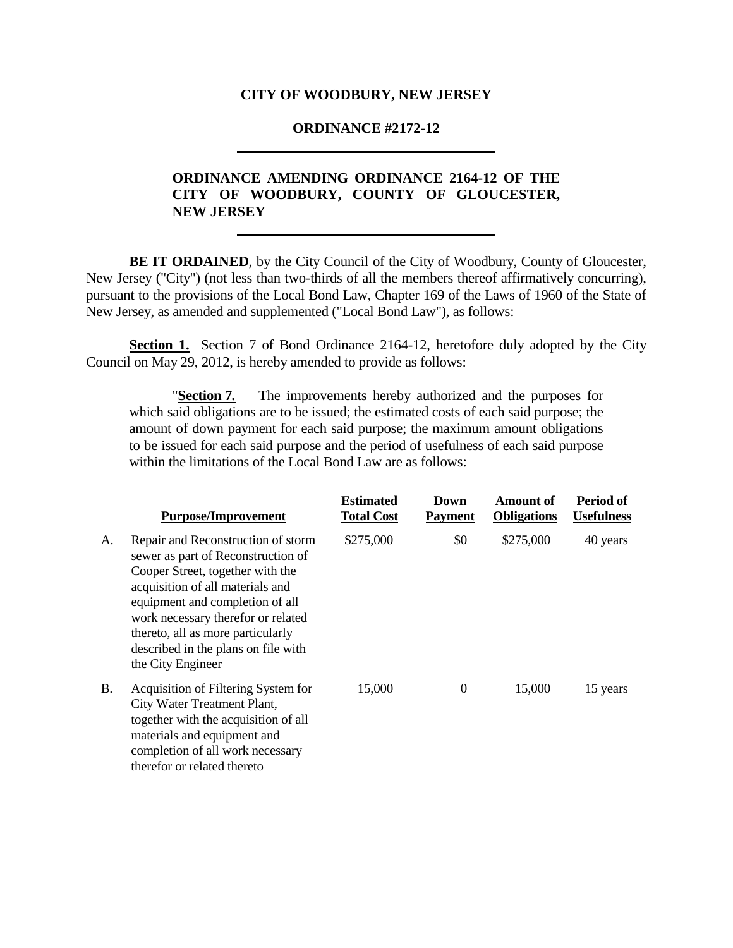#### **CITY OF WOODBURY, NEW JERSEY**

#### **ORDINANCE #2172-12**

# **ORDINANCE AMENDING ORDINANCE 2164-12 OF THE CITY OF WOODBURY, COUNTY OF GLOUCESTER, NEW JERSEY**

**BE IT ORDAINED**, by the City Council of the City of Woodbury, County of Gloucester, New Jersey ("City") (not less than two-thirds of all the members thereof affirmatively concurring), pursuant to the provisions of the Local Bond Law, Chapter 169 of the Laws of 1960 of the State of New Jersey, as amended and supplemented ("Local Bond Law"), as follows:

**Section 1.** Section 7 of Bond Ordinance 2164-12, heretofore duly adopted by the City Council on May 29, 2012, is hereby amended to provide as follows:

"**Section 7***.* The improvements hereby authorized and the purposes for which said obligations are to be issued; the estimated costs of each said purpose; the amount of down payment for each said purpose; the maximum amount obligations to be issued for each said purpose and the period of usefulness of each said purpose within the limitations of the Local Bond Law are as follows:

|           | <b>Purpose/Improvement</b>                                                                                                                                                                                                                                                                                                 | <b>Estimated</b><br><b>Total Cost</b> | Down<br><b>Payment</b> | Amount of<br><b>Obligations</b> | Period of<br><b>Usefulness</b> |
|-----------|----------------------------------------------------------------------------------------------------------------------------------------------------------------------------------------------------------------------------------------------------------------------------------------------------------------------------|---------------------------------------|------------------------|---------------------------------|--------------------------------|
| A.        | Repair and Reconstruction of storm<br>sewer as part of Reconstruction of<br>Cooper Street, together with the<br>acquisition of all materials and<br>equipment and completion of all<br>work necessary therefor or related<br>thereto, all as more particularly<br>described in the plans on file with<br>the City Engineer | \$275,000                             | \$0                    | \$275,000                       | 40 years                       |
| <b>B.</b> | Acquisition of Filtering System for<br>City Water Treatment Plant,<br>together with the acquisition of all<br>materials and equipment and<br>completion of all work necessary<br>therefor or related thereto                                                                                                               | 15,000                                | $\Omega$               | 15,000                          | 15 years                       |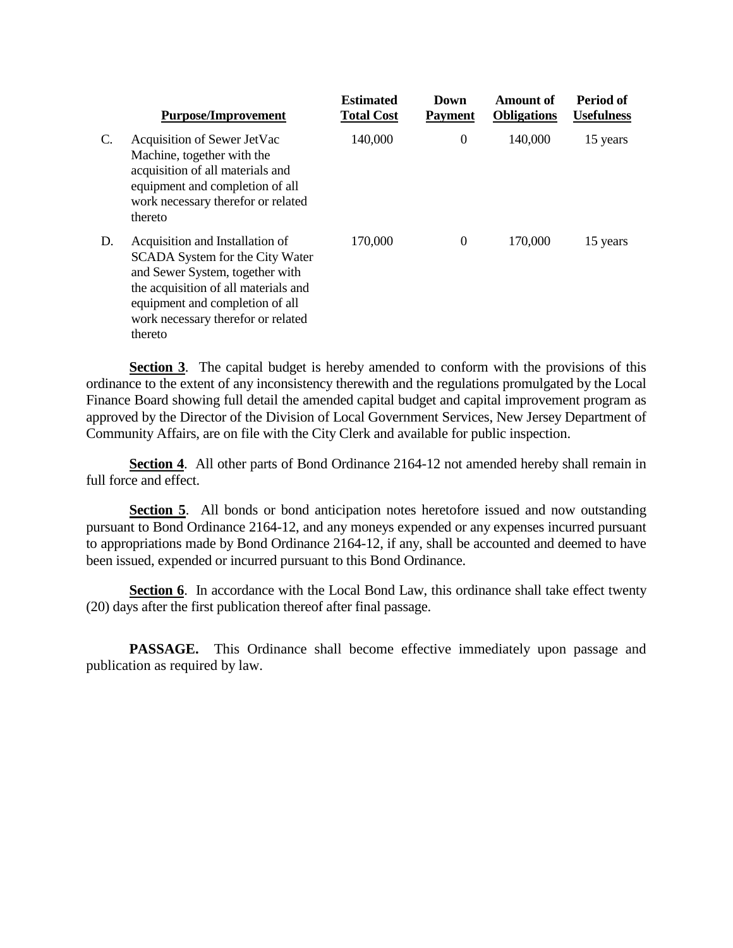|    | <b>Purpose/Improvement</b>                                                                                                                                                                                                        | <b>Estimated</b><br><b>Total Cost</b> | Down<br><b>Payment</b> | Amount of<br><b>Obligations</b> | Period of<br><b>Usefulness</b> |
|----|-----------------------------------------------------------------------------------------------------------------------------------------------------------------------------------------------------------------------------------|---------------------------------------|------------------------|---------------------------------|--------------------------------|
| C. | Acquisition of Sewer JetVac<br>Machine, together with the<br>acquisition of all materials and<br>equipment and completion of all<br>work necessary therefor or related<br>thereto                                                 | 140,000                               | 0                      | 140,000                         | 15 years                       |
| D. | Acquisition and Installation of<br>SCADA System for the City Water<br>and Sewer System, together with<br>the acquisition of all materials and<br>equipment and completion of all<br>work necessary therefor or related<br>thereto | 170,000                               | $\Omega$               | 170,000                         | 15 years                       |

**Section 3**. The capital budget is hereby amended to conform with the provisions of this ordinance to the extent of any inconsistency therewith and the regulations promulgated by the Local Finance Board showing full detail the amended capital budget and capital improvement program as approved by the Director of the Division of Local Government Services, New Jersey Department of Community Affairs, are on file with the City Clerk and available for public inspection.

**Section 4**. All other parts of Bond Ordinance 2164-12 not amended hereby shall remain in full force and effect.

**Section 5**. All bonds or bond anticipation notes heretofore issued and now outstanding pursuant to Bond Ordinance 2164-12, and any moneys expended or any expenses incurred pursuant to appropriations made by Bond Ordinance 2164-12, if any, shall be accounted and deemed to have been issued, expended or incurred pursuant to this Bond Ordinance.

**Section 6**. In accordance with the Local Bond Law, this ordinance shall take effect twenty (20) days after the first publication thereof after final passage.

**PASSAGE.** This Ordinance shall become effective immediately upon passage and publication as required by law.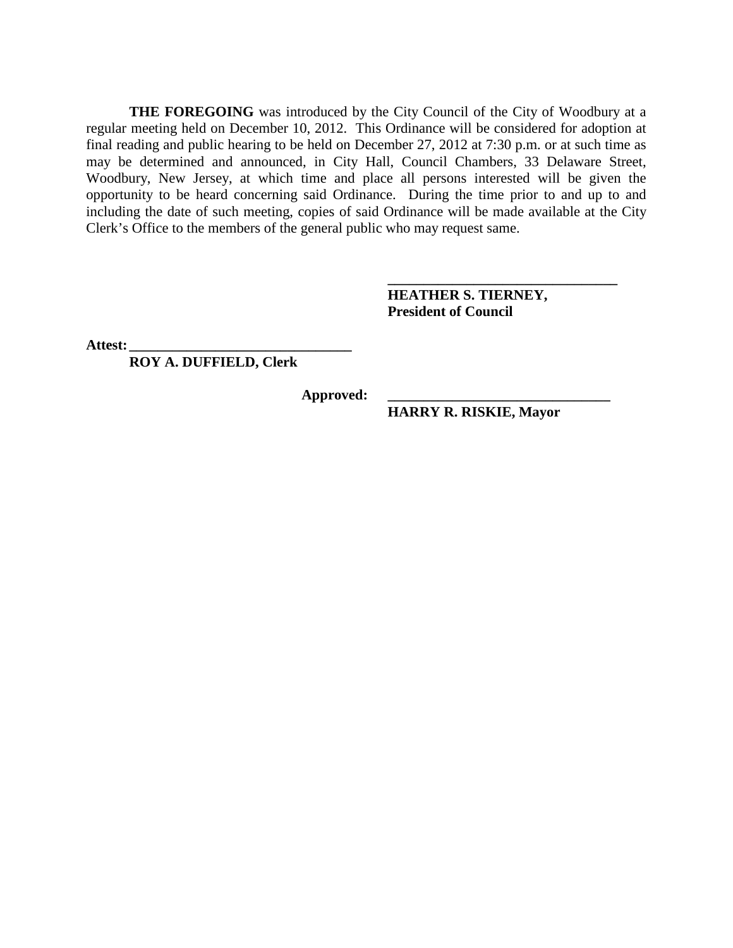**THE FOREGOING** was introduced by the City Council of the City of Woodbury at a regular meeting held on December 10, 2012. This Ordinance will be considered for adoption at final reading and public hearing to be held on December 27, 2012 at 7:30 p.m. or at such time as may be determined and announced, in City Hall, Council Chambers, 33 Delaware Street, Woodbury, New Jersey, at which time and place all persons interested will be given the opportunity to be heard concerning said Ordinance. During the time prior to and up to and including the date of such meeting, copies of said Ordinance will be made available at the City Clerk's Office to the members of the general public who may request same.

> **HEATHER S. TIERNEY, President of Council**

**\_\_\_\_\_\_\_\_\_\_\_\_\_\_\_\_\_\_\_\_\_\_\_\_\_\_\_\_\_\_\_\_**

**Attest: \_\_\_\_\_\_\_\_\_\_\_\_\_\_\_\_\_\_\_\_\_\_\_\_\_\_\_\_\_\_\_**

**ROY A. DUFFIELD, Clerk**

**Approved: \_\_\_\_\_\_\_\_\_\_\_\_\_\_\_\_\_\_\_\_\_\_\_\_\_\_\_\_\_\_\_**

**HARRY R. RISKIE, Mayor**